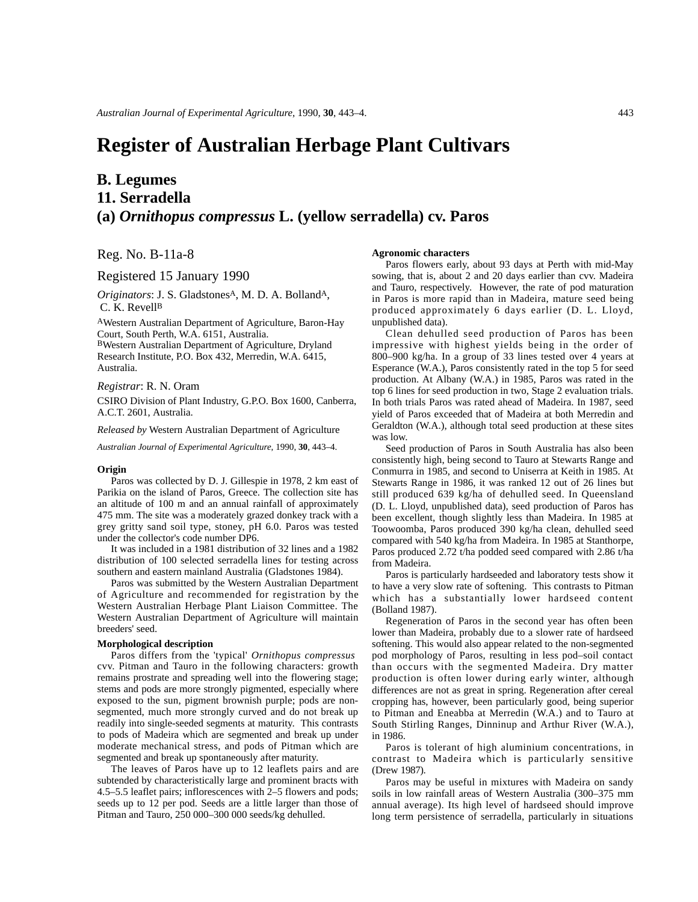# **Register of Australian Herbage Plant Cultivars**

## **B. Legumes 11. Serradella (a)** *Ornithopus compressus* **L. (yellow serradella) cv. Paros**

Reg. No. B-11a-8

Registered 15 January 1990

*Originators*: J. S. GladstonesA, M. D. A. BollandA, C. K. Revell<sup>B</sup>

AWestern Australian Department of Agriculture, Baron-Hay Court, South Perth, W.A. 6151, Australia. BWestern Australian Department of Agriculture, Dryland Research Institute, P.O. Box 432, Merredin, W.A. 6415, Australia.

*Registrar*: R. N. Oram

CSIRO Division of Plant Industry, G.P.O. Box 1600, Canberra, A.C.T. 2601, Australia.

*Released by* Western Australian Department of Agriculture

*Australian Journal of Experimental Agriculture*, 1990, **30**, 443–4.

#### **Origin**

Paros was collected by D. J. Gillespie in 1978, 2 km east of Parikia on the island of Paros, Greece. The collection site has an altitude of 100 m and an annual rainfall of approximately 475 mm. The site was a moderately grazed donkey track with a grey gritty sand soil type, stoney, pH 6.0. Paros was tested under the collector's code number DP6.

It was included in a 1981 distribution of 32 lines and a 1982 distribution of 100 selected serradella lines for testing across southern and eastern mainland Australia (Gladstones 1984).

Paros was submitted by the Western Australian Department of Agriculture and recommended for registration by the Western Australian Herbage Plant Liaison Committee. The Western Australian Department of Agriculture will maintain breeders' seed.

#### **Morphological description**

Paros differs from the 'typical' *Ornithopus compressus* cvv. Pitman and Tauro in the following characters: growth remains prostrate and spreading well into the flowering stage; stems and pods are more strongly pigmented, especially where exposed to the sun, pigment brownish purple; pods are nonsegmented, much more strongly curved and do not break up readily into single-seeded segments at maturity. This contrasts to pods of Madeira which are segmented and break up under moderate mechanical stress, and pods of Pitman which are segmented and break up spontaneously after maturity.

The leaves of Paros have up to 12 leaflets pairs and are subtended by characteristically large and prominent bracts with 4.5–5.5 leaflet pairs; inflorescences with 2–5 flowers and pods; seeds up to 12 per pod. Seeds are a little larger than those of Pitman and Tauro, 250 000–300 000 seeds/kg dehulled.

### **Agronomic characters**

Paros flowers early, about 93 days at Perth with mid-May sowing, that is, about 2 and 20 days earlier than cvv. Madeira and Tauro, respectively. However, the rate of pod maturation in Paros is more rapid than in Madeira, mature seed being produced approximately 6 days earlier (D. L. Lloyd, unpublished data).

Clean dehulled seed production of Paros has been impressive with highest yields being in the order of 800–900 kg/ha. In a group of 33 lines tested over 4 years at Esperance (W.A.), Paros consistently rated in the top 5 for seed production. At Albany (W.A.) in 1985, Paros was rated in the top 6 lines for seed production in two, Stage 2 evaluation trials. In both trials Paros was rated ahead of Madeira. In 1987, seed yield of Paros exceeded that of Madeira at both Merredin and Geraldton (W.A.), although total seed production at these sites was low.

Seed production of Paros in South Australia has also been consistently high, being second to Tauro at Stewarts Range and Conmurra in 1985, and second to Uniserra at Keith in 1985. At Stewarts Range in 1986, it was ranked 12 out of 26 lines but still produced 639 kg/ha of dehulled seed. In Queensland (D. L. Lloyd, unpublished data), seed production of Paros has been excellent, though slightly less than Madeira. In 1985 at Toowoomba, Paros produced 390 kg/ha clean, dehulled seed compared with 540 kg/ha from Madeira. In 1985 at Stanthorpe, Paros produced 2.72 t/ha podded seed compared with 2.86 t/ha from Madeira.

Paros is particularly hardseeded and laboratory tests show it to have a very slow rate of softening. This contrasts to Pitman which has a substantially lower hardseed content (Bolland 1987).

Regeneration of Paros in the second year has often been lower than Madeira, probably due to a slower rate of hardseed softening. This would also appear related to the non-segmented pod morphology of Paros, resulting in less pod–soil contact than occurs with the segmented Madeira. Dry matter production is often lower during early winter, although differences are not as great in spring. Regeneration after cereal cropping has, however, been particularly good, being superior to Pitman and Eneabba at Merredin (W.A.) and to Tauro at South Stirling Ranges, Dinninup and Arthur River (W.A.), in 1986.

Paros is tolerant of high aluminium concentrations, in contrast to Madeira which is particularly sensitive (Drew 1987).

Paros may be useful in mixtures with Madeira on sandy soils in low rainfall areas of Western Australia (300–375 mm annual average). Its high level of hardseed should improve long term persistence of serradella, particularly in situations